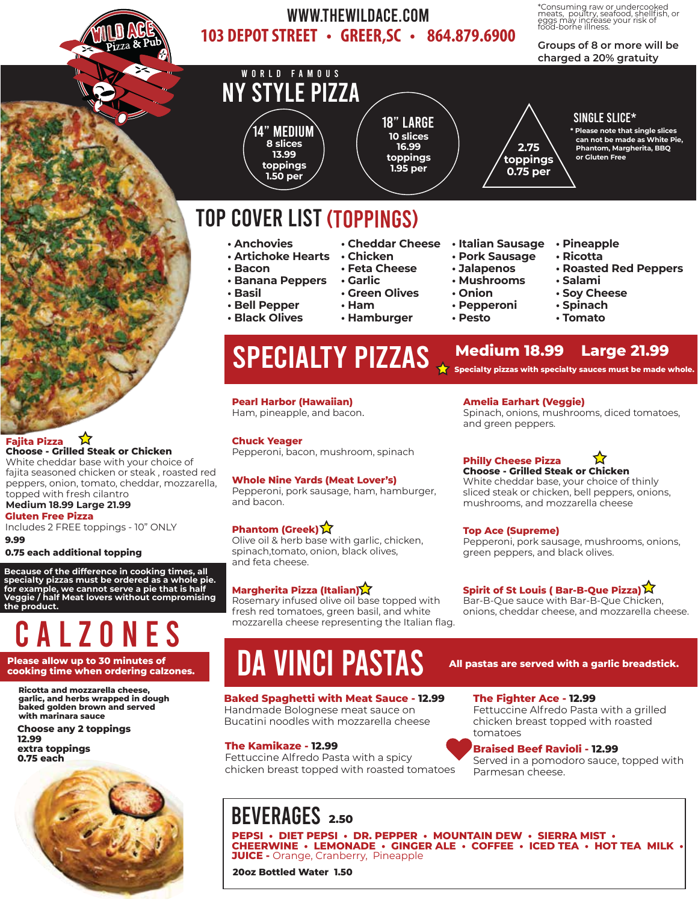

### WWW.THEWILDACE.COM 103 DEPOT STREET • GREER, SC • 864.879.6900

\*Consuming raw or undercooked meats, poultry, seafood, shellfish, or eggs may increase your risk of food-borne illness.

### **Groups of 8 or more will be charged a 20% gratuity**



# **ALZONES**

**Ricotta and mozzarella cheese, garlic, and herbs wrapped in dough baked golden brown and served with marinara sauce**

**Choose any 2 toppings 12.99 extra toppings** 

**0.75 each**

**9.99**



# Please allow up to 30 minutes of **ALL PASTAS** All pastas are served with a garlic breadstick.<br>Cooking time when ordering calzones.

### **Baked Spaghetti with Meat Sauce - 12.99**

mozzarella cheese representing the Italian flag.

Handmade Bolognese meat sauce on Bucatini noodles with mozzarella cheese

### **The Kamikaze - 12.99**

Fettuccine Alfredo Pasta with a spicy chicken breast topped with roasted tomatoes

## BEVERAGES **2.50**

**PEPSI • DIET PEPSI • DR. PEPPER • MOUNTAIN DEW • SIERRA MIST • CHEERWINE • LEMONADE • GINGER ALE • COFFEE • ICED TEA • HOT TEA MILK • JUICE -** Orange, Cranberry, Pineapple

**20oz Bottled Water 1.50**

### **The Fighter Ace - 12.99**

Fettuccine Alfredo Pasta with a grilled chicken breast topped with roasted tomatoes

### **Braised Beef Ravioli - 12.99**

Served in a pomodoro sauce, topped with Parmesan cheese.